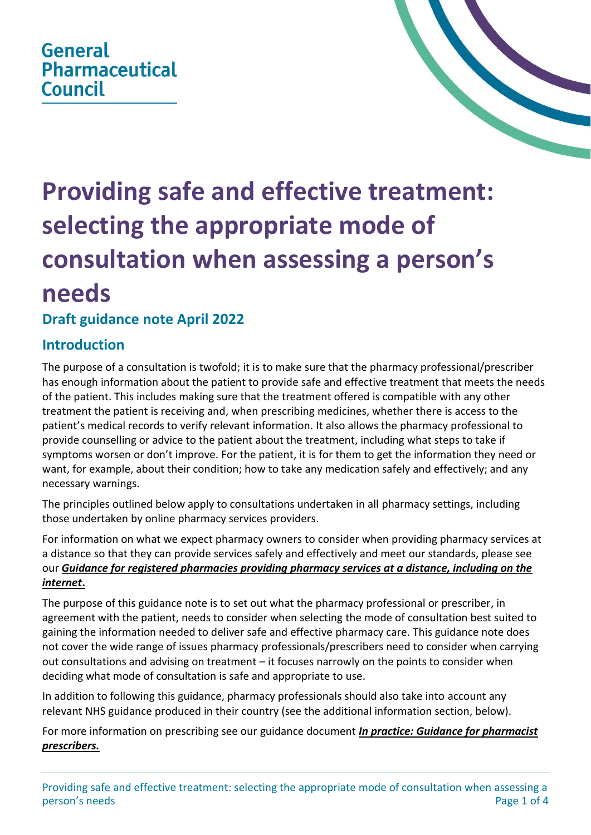## **General Pharmaceutical Council**



# **Providing safe and effective treatment: selecting the appropriate mode of consultation when assessing a person's needs**

### **Draft guidance note April 2022**

#### **Introduction**

The purpose of a consultation is twofold; it is to make sure that the pharmacy professional/prescriber has enough information about the patient to provide safe and effective treatment that meets the needs of the patient. This includes making sure that the treatment offered is compatible with any other treatment the patient is receiving and, when prescribing medicines, whether there is access to the patient's medical records to verify relevant information. It also allows the pharmacy professional to provide counselling or advice to the patient about the treatment, including what steps to take if symptoms worsen or don't improve. For the patient, it is for them to get the information they need or want, for example, about their condition; how to take any medication safely and effectively; and any necessary warnings.

The principles outlined below apply to consultations undertaken in all pharmacy settings, including those undertaken by online pharmacy services providers.

For information on what we expect pharmacy owners to consider when providing pharmacy services at a distance so that they can provide services safely and effectively and meet our standards, please see our *[Guidance for registered pharmacies providing pharmacy services at a distance, including on the](https://www.pharmacyregulation.org/sites/default/files/document/guidance_for_registered_pharmacies_providing_pharmacy_services_at_a_distance_including_on_the_internet_april_2019.pdf)  [internet](https://www.pharmacyregulation.org/sites/default/files/document/guidance_for_registered_pharmacies_providing_pharmacy_services_at_a_distance_including_on_the_internet_april_2019.pdf)***.**

The purpose of this guidance note is to set out what the pharmacy professional or prescriber, in agreement with the patient, needs to consider when selecting the mode of consultation best suited to gaining the information needed to deliver safe and effective pharmacy care. This guidance note does not cover the wide range of issues pharmacy professionals/prescribers need to consider when carrying out consultations and advising on treatment – it focuses narrowly on the points to consider when deciding what mode of consultation is safe and appropriate to use.

In addition to following this guidance, pharmacy professionals should also take into account any relevant NHS guidance produced in their country (see the additional information section, below).

For more information on prescribing see our guidance document *[In practice: Guidance for pharmacist](https://www.pharmacyregulation.org/sites/default/files/document/in-practice-guidance-for-pharmacist-prescribers-february-2020.pdf)  [prescribers.](https://www.pharmacyregulation.org/sites/default/files/document/in-practice-guidance-for-pharmacist-prescribers-february-2020.pdf)*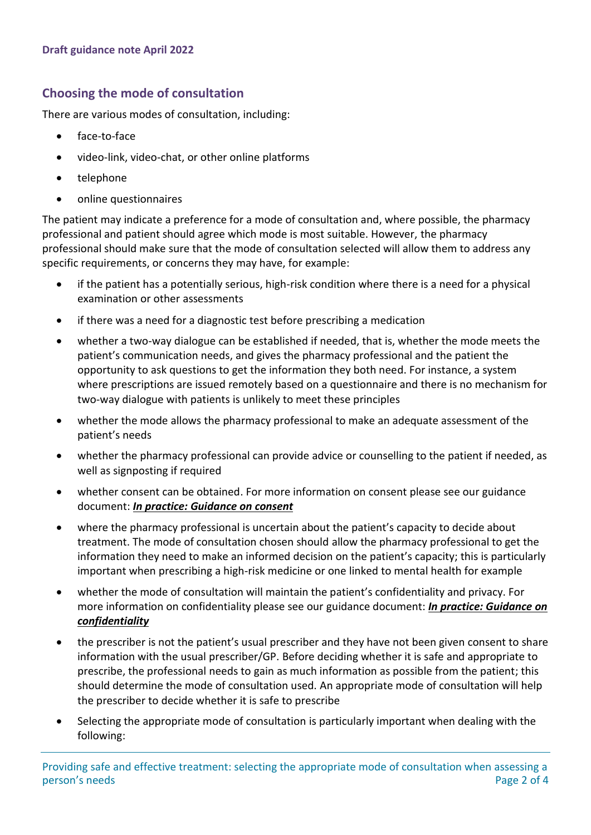#### **Choosing the mode of consultation**

There are various modes of consultation, including:

- face-to-face
- video-link, video-chat, or other online platforms
- telephone
- online questionnaires

The patient may indicate a preference for a mode of consultation and, where possible, the pharmacy professional and patient should agree which mode is most suitable. However, the pharmacy professional should make sure that the mode of consultation selected will allow them to address any specific requirements, or concerns they may have, for example:

- if the patient has a potentially serious, high-risk condition where there is a need for a physical examination or other assessments
- if there was a need for a diagnostic test before prescribing a medication
- whether a two-way dialogue can be established if needed, that is, whether the mode meets the patient's communication needs, and gives the pharmacy professional and the patient the opportunity to ask questions to get the information they both need. For instance, a system where prescriptions are issued remotely based on a questionnaire and there is no mechanism for two-way dialogue with patients is unlikely to meet these principles
- whether the mode allows the pharmacy professional to make an adequate assessment of the patient's needs
- whether the pharmacy professional can provide advice or counselling to the patient if needed, as well as signposting if required
- whether consent can be obtained. For more information on consent please see our guidance document: *[In practice: Guidance on consent](https://www.pharmacyregulation.org/sites/default/files/document/in_practice_guidance_on_consent_june_2018.pdf)*
- where the pharmacy professional is uncertain about the patient's capacity to decide about treatment. The mode of consultation chosen should allow the pharmacy professional to get the information they need to make an informed decision on the patient's capacity; this is particularly important when prescribing a high-risk medicine or one linked to mental health for example
- whether the mode of consultation will maintain the patient's confidentiality and privacy. For more information on confidentiality please see our guidance document: *[In practice: Guidance on](https://www.pharmacyregulation.org/sites/default/files/document/in_practice_guidance_on_confidentiality_june_2018.pdf)  [confidentiality](https://www.pharmacyregulation.org/sites/default/files/document/in_practice_guidance_on_confidentiality_june_2018.pdf)*
- the prescriber is not the patient's usual prescriber and they have not been given consent to share information with the usual prescriber/GP. Before deciding whether it is safe and appropriate to prescribe, the professional needs to gain as much information as possible from the patient; this should determine the mode of consultation used. An appropriate mode of consultation will help the prescriber to decide whether it is safe to prescribe
- Selecting the appropriate mode of consultation is particularly important when dealing with the following: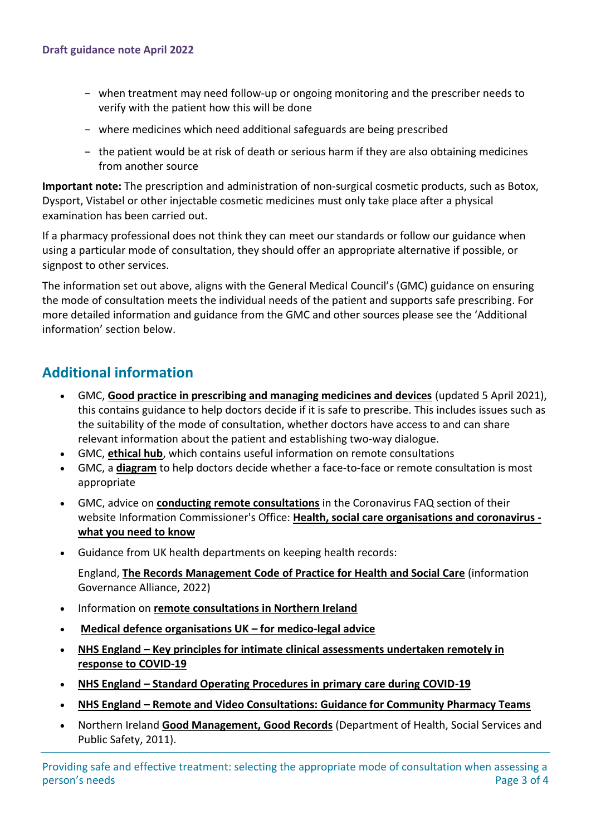- when treatment may need follow-up or ongoing monitoring and the prescriber needs to verify with the patient how this will be done
- where medicines which need additional safeguards are being prescribed
- the patient would be at risk of death or serious harm if they are also obtaining medicines from another source

**Important note:** The prescription and administration of non-surgical cosmetic products, such as Botox, Dysport, Vistabel or other injectable cosmetic medicines must only take place after a physical examination has been carried out.

If a pharmacy professional does not think they can meet our standards or follow our guidance when using a particular mode of consultation, they should offer an appropriate alternative if possible, or signpost to other services.

The information set out above, aligns with the General Medical Council's (GMC) guidance on ensuring the mode of consultation meets the individual needs of the patient and supports safe prescribing. For more detailed information and guidance from the GMC and other sources please see the 'Additional information' section below.

#### **Additional information**

- GMC, **[Good practice in prescribing and managing medicines and devices](https://www.gmc-uk.org/ethical-guidance/ethical-guidance-for-doctors/good-practice-in-prescribing-and-managing-medicines-and-devices)** (updated 5 April 2021), this contains guidance to help doctors decide if it is safe to prescribe. This includes issues such as the suitability of the mode of consultation, whether doctors have access to and can share relevant information about the patient and establishing two-way dialogue.
- GMC, **[ethical hub](https://www.gmc-uk.org/ethical-guidance/ethical-hub/remote-consultations)**, which contains useful information on remote consultations
- GMC, a **[diagram](https://www.gmc-uk.org/-/media/gmc-site-images/ethical-guidance/learning-materials/themes/remote-consultations-diagram-april-2020-(002).svg?la=en&hash=3BFAD4683392DABF0E512E931617952CDAC385C4)** to help doctors decide whether a face-to-face or remote consultation is most appropriate
- GMC, advice on **[conducting remote consultations](https://www.gmc-uk.org/ethical-guidance/ethical-hub/covid-19-questions-and-answers#Remote-consultations)** in the Coronavirus FAQ section of their website Information Commissioner's Office: **[Health, social care organisations and coronavirus](https://ico.org.uk/global/data-protection-and-coronavirus-information-hub/data-protection-and-coronavirus/health-social-care-organisations-and-coronavirus-what-you-need-to-know/)  [what you need to know](https://ico.org.uk/global/data-protection-and-coronavirus-information-hub/data-protection-and-coronavirus/health-social-care-organisations-and-coronavirus-what-you-need-to-know/)**
- Guidance from UK health departments on keeping health records:

England, **[The Records Management Code of Practice for Health and Social Care](https://www.nhsx.nhs.uk/information-governance/guidance/records-management-code/)** (information Governance Alliance, 2022)

- Information on **[remote consultations in Northern Ireland](http://www.hscboard.hscni.net/coronavirus/#GP)**
- **[Medical defence organisations UK](https://www.gmc-uk.org/ethical-guidance/ethical-hub/covid-19-questions-and-answers/medical-defence-bodies) – for medico-legal advice**
- **NHS England – Key principles for intimate clinical [assessments undertaken remotely in](https://www.gmc-uk.org/-/media/files/key_principles_for_intimate_clinical_assessments_undertaken_remotely_in_response_to_covid19_v1-(1).pdf?la=en&hash=0A7816F6A8DA9240D7FCF5BDF28D5D98F1E7B194)  [response to COVID-19](https://www.gmc-uk.org/-/media/files/key_principles_for_intimate_clinical_assessments_undertaken_remotely_in_response_to_covid19_v1-(1).pdf?la=en&hash=0A7816F6A8DA9240D7FCF5BDF28D5D98F1E7B194)**
- **NHS England – [Standard Operating Procedures in primary care during COVID-19](https://www.england.nhs.uk/coronavirus/publication/managing-coronavirus-covid-19-in-general-practice-sop/)**
- **NHS England – [Remote and Video Consultations: Guidance for Community Pharmacy Teams](https://www.england.nhs.uk/wp-content/uploads/2022/04/B1400-remote-and-video-consultations-guidance-for-community-pharmacy-teams.pdf)**
- Northern Ireland **[Good Management, Good Records](https://www.health-ni.gov.uk/articles/gmgr-records-management)** (Department of Health, Social Services and Public Safety, 2011).